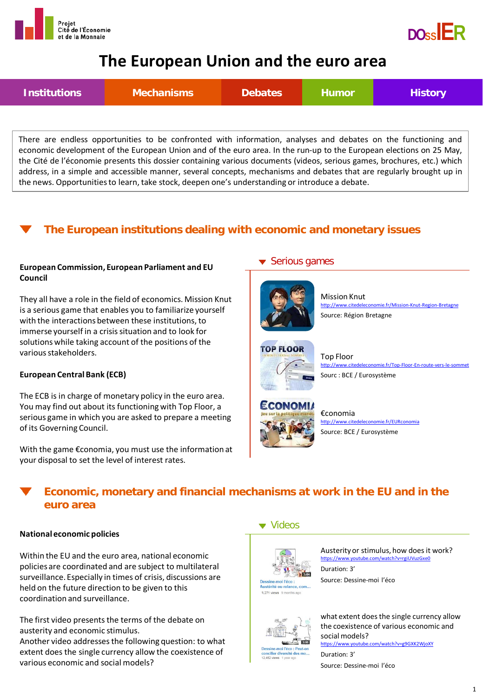



# **The European Union and the euro area**



There are endless opportunities to be confronted with information, analyses and debates on the functioning and economic development of the European Union and of the euro area. In the run-up to the European elections on 25 May, the Cité de l'économie presents this dossier containing various documents (videos, serious games, brochures, etc.) which address, in a simple and accessible manner, several concepts, mechanisms and debates that are regularly brought up in the news. Opportunitiesto learn, take stock, deepen one's understanding or introduce a debate.

## **The European institutions dealing with economic and monetary issues**

#### **European Commission, European Parliament and EU Council**

They all have a role in the field of economics. Mission Knut is a serious game that enables you to familiarize yourself with the interactions between these institutions, to immerse yourself in a crisis situation and to look for solutions while taking account of the positions of the various stakeholders.

### **European Central Bank (ECB)**

The ECB is in charge of monetary policy in the euro area. You may find out about its functioning with Top Floor, a serious game in which you are asked to prepare a meeting of its Governing Council.

With the game €conomia, you must use the information at your disposal to set the level of interest rates.

### ▼ Serious games



Mission Knut <http://www.citedeleconomie.fr/Mission-Knut-Region-Bretagne> Source: Région Bretagne



Top Floor <http://www.citedeleconomie.fr/Top-Floor-En-route-vers-le-sommet> Sourc : BCE / Eurosystème



€conomia <http://www.citedeleconomie.fr/EURconomia> Source: BCE / Eurosystème

## **Economic, monetary and financial mechanisms at work in the EU and in the euro area**

#### **National economic policies**

Within the EU and the euro area, national economic policies are coordinated and are subject to multilateral surveillance. Especially in times of crisis, discussions are held on the future direction to be given to this coordination and surveillance.

The first video presents the terms of the debate on austerity and economic stimulus.

Another video addresses the following question: to what extent does the single currency allow the coexistence of various economic and social models?

### ▼ Videos



8,271 views 9 months ag

Austerity or stimulus, how does it work? <https://www.youtube.com/watch?v=rgiUVuzGxe0> Duration: 3'

Source: Dessine-moi l'éco



what extent does the single currency allow the coexistence of various economic and social models? <https://www.youtube.com/watch?v=g9GXK2WjoXY> Duration: 3'

Source: Dessine-moi l'éco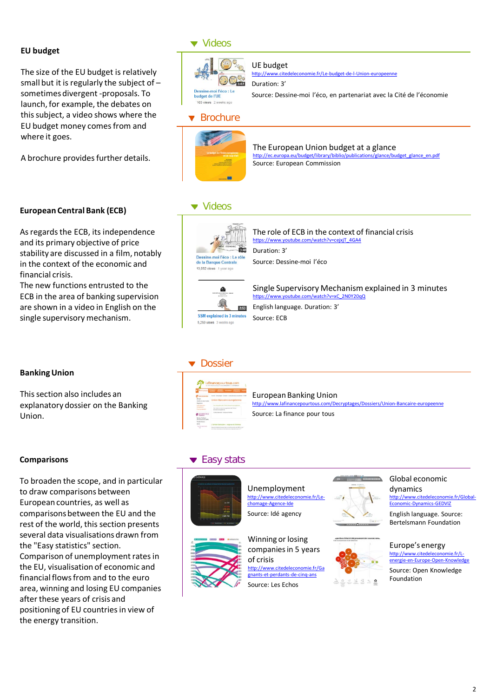#### **EU budget**

The size of the EU budget is relatively small but it is regularly the subject of – sometimes divergent -proposals. To launch, for example, the debates on this subject, a video shows where the EU budget money comes from and where it goes.

A brochure provides further details.

As regards the ECB, its independence and its primary objective of price stability are discussed in a film, notably in the context of the economic and

The new functions entrusted to the ECB in the area of banking supervision are shown in a video in English on the single supervisory mechanism.

**European Central Bank (ECB)**

### **v** Videos



Source: Dessine-moi l'éco, en partenariat avec la Cité de l'économie

## **v** Brochure



#### The European Union budget at a glance [http://ec.europa.eu/budget/library/biblio/publications/glance/budget\\_glance\\_en.pdf](http://ec.europa.eu/budget/library/biblio/publications/glance/budget_glance_en.pdf) Source: European Commission

### ▼ Videos



The role of ECB in the context of financial crisis https://www.youtube.com/watch?v=ceixiT\_4GA4 Duration: 3' Source: Dessine-moi l'éco



htube.com/watch?v=xC\_2N0Y20qQ English language. Duration: 3' Source: ECB

### **Banking Union**

financial crisis.

This section also includes an explanatory dossier on the Banking Union.

#### **Comparisons**

To broaden the scope, and in particular to draw comparisons between European countries, as well as comparisons between the EU and the rest of the world, this section presents several data visualisations drawn from the "Easy statistics" section. Comparison of unemployment rates in the EU, visualisation of economic and financial flows from and to the euro area, winning and losing EU companies after these years of crisis and positioning of EU countries in view of the energy transition.

### **v** Dossier



European Banking Union<br>http://www.lafinancepourtous.com/De <http://www.lafinancepourtous.com/Decryptages/Dossiers/Union-Bancaire-europeenne> Source: La finance pour tous

Single Supervisory Mechanism explained in 3 minutes

### ▼ Easy stats



Unemployment http://www.citedele [chomage-Agence-Ide](http://www.citedeleconomie.fr/Le-chomage-Agence-Ide) Source: Idé agency



Winning or losing companies in 5 years of crisis [http://www.citedeleconomie.fr/Ga](http://www.citedeleconomie.fr/Gagnants-et-perdants-de-cinq-ans) [gnants-et-perdants-de-cinq-ans](http://www.citedeleconomie.fr/Gagnants-et-perdants-de-cinq-ans)

Source: Les Echos





#### Global economic dynamics http://www.cit [Economic-Dynamics-GEDVIZ](http://www.citedeleconomie.fr/Global-Economic-Dynamics-GEDVIZ)

English language. Source: Bertelsmann Foundation

#### Europe's energy [http://www.citedeleconomie.fr/L](http://www.citedeleconomie.fr/L-energie-en-Europe-Open-Knowledge)energie-en-Furope-Open-Knowle

Source: Open Knowledge Foundation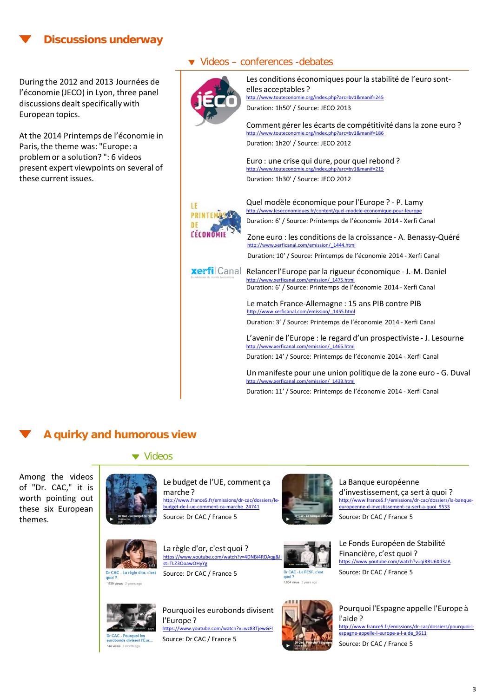### **Discussions underway**

During the 2012 and 2013 Journées de l'économie (JECO) in Lyon, three panel discussions dealt specifically with European topics.

At the 2014 Printemps de l'économie in Paris, the theme was: "Europe: a problem or a solution? ": 6 videos present expert viewpoints on several of these current issues.

### ▼ Videos – conferences -debates



LE

DE

Les conditions économiques pour la stabilité de l'euro sontelles acceptables ? <http://www.touteconomie.org/index.php?arc=bv1&manif=245> Duration: 1h50' / Source: JECO 2013 Comment gérer les écarts de compétitivité dans la zone euro ? <http://www.touteconomie.org/index.php?arc=bv1&manif=186> Duration: 1h20' / Source: JECO 2012 Euro : une crise qui dure, pour quel rebond ? <http://www.touteconomie.org/index.php?arc=bv1&manif=215> Duration: 1h30' / Source: JECO 2012 Quel modèle économique pour l'Europe ? - P. Lamy <http://www.leseconomiques.fr/content/quel-modele-economique-pour-leurope> **PRINTEM** Duration: 6' / Source: Printemps de l'économie 2014 - Xerfi CanalLÉCONO Zone euro : les conditions de la croissance - A. Benassy-Quéré [http://www.xerficanal.com/emission/\\_1444.html](http://www.xerficanal.com/emission/_1444.html) Duration: 10' / Source: Printemps de l'économie 2014 - Xerfi Canal **xerfi** Canal Relancer l'Europe par la rigueur économique - J.-M. Daniel [http://www.xerficanal.com/emission/\\_1475.html](http://www.xerficanal.com/emission/_1475.html) Duration: 6' / Source: Printemps de l'économie 2014 - Xerfi Canal Le match France-Allemagne : 15 ans PIB contre PIB [http://www.xerficanal.com/emission/\\_1455.html](http://www.xerficanal.com/emission/_1455.html) Duration: 3' / Source: Printemps de l'économie 2014 - Xerfi Canal L'avenir de l'Europe : le regard d'un prospectiviste - J. Lesourne http://www.xerficanal.com/emission Duration: 14' / Source: Printemps de l'économie 2014 - Xerfi Canal Un manifeste pour une union politique de la zone euro - G. Duval [http://www.xerficanal.com/emission/\\_1433.html](http://www.xerficanal.com/emission/_1433.html)

Duration: 11' / Source: Printemps de l'économie 2014 - Xerfi Canal

### **A quirky and humorous view**

#### ▼ Videos

Among the videos of "Dr. CAC," it is worth pointing out these six European themes.



Le budget de l'UE, comment ça marche ? [http://www.france5.fr/emissions/dr-cac/dossiers/le](http://www.france5.fr/emissions/dr-cac/dossiers/le-budget-de-l-ue-comment-ca-marche_24741)[budget-de-l-ue-comment-ca-marche\\_24741](http://www.france5.fr/emissions/dr-cac/dossiers/le-budget-de-l-ue-comment-ca-marche_24741) Source: Dr CAC / France 5



La Banque européenne d'investissement, ça sert à quoi ? [http://www.france5.fr/emissions/dr-cac/dossiers/la-banque-](http://www.france5.fr/emissions/dr-cac/dossiers/la-banque-europeenne-d-investissement-ca-sert-a-quoi_9533)[europeenne-d-investissement-ca-sert-a-quoi\\_9533](http://www.france5.fr/emissions/dr-cac/dossiers/la-banque-europeenne-d-investissement-ca-sert-a-quoi_9533) Source: Dr CAC / France 5



539 views 2 years ago

La règle d'or, c'est quoi ? https://www.youtube.com/watch?v=4DNBi4RDA [st=TLZ3OoawOHyYg](https://www.youtube.com/watch?v=4DNBi4RDAqg&list=TLZ3OoawOHyYg)  Source: Dr CAC / France 5



Le Fonds Européen de Stabilité Financière, c'est quoi ? <https://www.youtube.com/watch?v=qiRRU6Xd3aA> Source: Dr CAC / France 5



 $44$  views  $1n$ 

Pourquoi les eurobonds divisent l'Europe ? atch?v=wz83TiewGFI Source: Dr CAC / France 5



Pourquoi l'Espagne appelle l'Europe à l'aide ? [http://www.france5.fr/emissions/dr-cac/dossiers/pourquoi-l](http://www.france5.fr/emissions/dr-cac/dossiers/pourquoi-l-espagne-appelle-l-europe-a-l-aide_9611)[espagne-appelle-l-europe-a-l-aide\\_9611](http://www.france5.fr/emissions/dr-cac/dossiers/pourquoi-l-espagne-appelle-l-europe-a-l-aide_9611) Source: Dr CAC / France 5